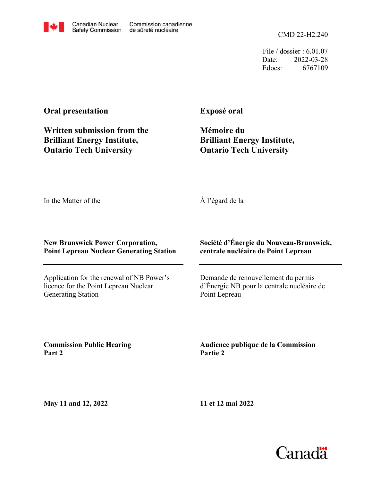File / dossier : 6.01.07 Date: 2022-03-28 Edocs: 6767109

## **Oral presentation**

**Written submission from the Brilliant Energy Institute, Ontario Tech University**

**Exposé oral**

**Mémoire du Brilliant Energy Institute, Ontario Tech University**

In the Matter of the

À l'égard de la

## **New Brunswick Power Corporation, Point Lepreau Nuclear Generating Station**

Application for the renewal of NB Power's licence for the Point Lepreau Nuclear Generating Station

**Société d'Énergie du Nouveau-Brunswick, centrale nucléaire de Point Lepreau**

Demande de renouvellement du permis d'Énergie NB pour la centrale nucléaire de Point Lepreau

**Commission Public Hearing Part 2**

**Audience publique de la Commission Partie 2**

**May 11 and 12, 2022**

**11 et 12 mai 2022**



Canadian Nuclear **Safety Commission** de sûreté nucléaire

Commission canadienne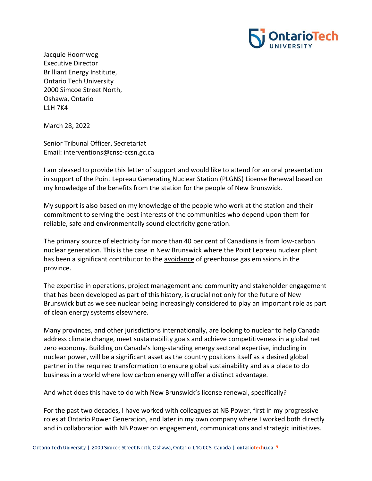

Jacquie Hoornweg Executive Director Brilliant Energy Institute, Ontario Tech University 2000 Simcoe Street North, Oshawa, Ontario L1H 7K4

March 28, 2022

Senior Tribunal Officer, Secretariat Email: interventions@cnsc-ccsn.gc.ca

I am pleased to provide this letter of support and would like to attend for an oral presentation in support of the Point Lepreau Generating Nuclear Station (PLGNS) License Renewal based on my knowledge of the benefits from the station for the people of New Brunswick.

My support is also based on my knowledge of the people who work at the station and their commitment to serving the best interests of the communities who depend upon them for reliable, safe and environmentally sound electricity generation.

The primary source of electricity for more than 40 per cent of Canadians is from low-carbon nuclear generation. This is the case in New Brunswick where the Point Lepreau nuclear plant has been a significant contributor to the avoidance of greenhouse gas emissions in the province.

The expertise in operations, project management and community and stakeholder engagement that has been developed as part of this history, is crucial not only for the future of New Brunswick but as we see nuclear being increasingly considered to play an important role as part of clean energy systems elsewhere.

Many provinces, and other jurisdictions internationally, are looking to nuclear to help Canada address climate change, meet sustainability goals and achieve competitiveness in a global net zero economy. Building on Canada's long-standing energy sectoral expertise, including in nuclear power, will be a significant asset as the country positions itself as a desired global partner in the required transformation to ensure global sustainability and as a place to do business in a world where low carbon energy will offer a distinct advantage.

And what does this have to do with New Brunswick's license renewal, specifically?

For the past two decades, I have worked with colleagues at NB Power, first in my progressive roles at Ontario Power Generation, and later in my own company where I worked both directly and in collaboration with NB Power on engagement, communications and strategic initiatives.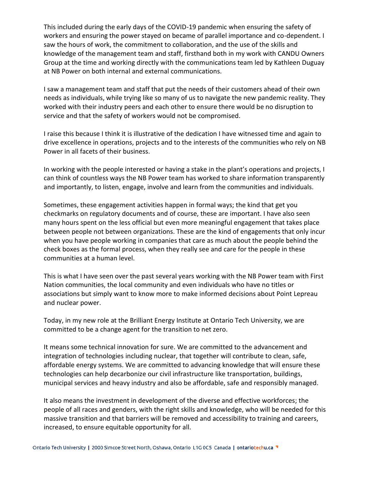This included during the early days of the COVID-19 pandemic when ensuring the safety of workers and ensuring the power stayed on became of parallel importance and co-dependent. I saw the hours of work, the commitment to collaboration, and the use of the skills and knowledge of the management team and staff, firsthand both in my work with CANDU Owners Group at the time and working directly with the communications team led by Kathleen Duguay at NB Power on both internal and external communications.

I saw a management team and staff that put the needs of their customers ahead of their own needs as individuals, while trying like so many of us to navigate the new pandemic reality. They worked with their industry peers and each other to ensure there would be no disruption to service and that the safety of workers would not be compromised.

I raise this because I think it is illustrative of the dedication I have witnessed time and again to drive excellence in operations, projects and to the interests of the communities who rely on NB Power in all facets of their business.

In working with the people interested or having a stake in the plant's operations and projects, I can think of countless ways the NB Power team has worked to share information transparently and importantly, to listen, engage, involve and learn from the communities and individuals.

Sometimes, these engagement activities happen in formal ways; the kind that get you checkmarks on regulatory documents and of course, these are important. I have also seen many hours spent on the less official but even more meaningful engagement that takes place between people not between organizations. These are the kind of engagements that only incur when you have people working in companies that care as much about the people behind the check boxes as the formal process, when they really see and care for the people in these communities at a human level.

This is what I have seen over the past several years working with the NB Power team with First Nation communities, the local community and even individuals who have no titles or associations but simply want to know more to make informed decisions about Point Lepreau and nuclear power.

Today, in my new role at the Brilliant Energy Institute at Ontario Tech University, we are committed to be a change agent for the transition to net zero.

It means some technical innovation for sure. We are committed to the advancement and integration of technologies including nuclear, that together will contribute to clean, safe, affordable energy systems. We are committed to advancing knowledge that will ensure these technologies can help decarbonize our civil infrastructure like transportation, buildings, municipal services and heavy industry and also be affordable, safe and responsibly managed.

It also means the investment in development of the diverse and effective workforces; the people of all races and genders, with the right skills and knowledge, who will be needed for this massive transition and that barriers will be removed and accessibility to training and careers, increased, to ensure equitable opportunity for all.